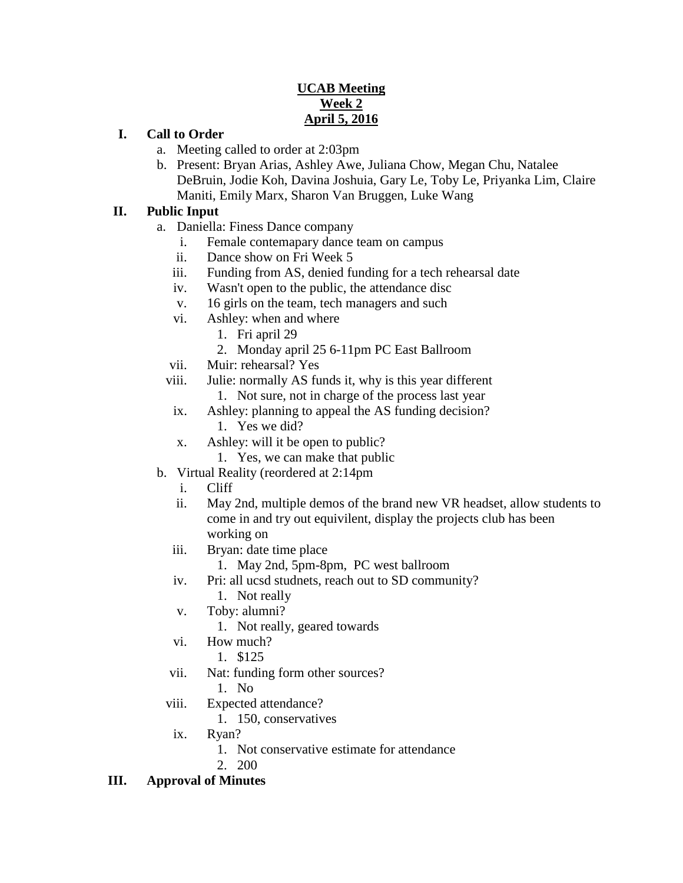## **UCAB Meeting Week 2 April 5, 2016**

### **I. Call to Order**

- a. Meeting called to order at 2:03pm
- b. Present: Bryan Arias, Ashley Awe, Juliana Chow, Megan Chu, Natalee DeBruin, Jodie Koh, Davina Joshuia, Gary Le, Toby Le, Priyanka Lim, Claire Maniti, Emily Marx, Sharon Van Bruggen, Luke Wang

### **II. Public Input**

- a. Daniella: Finess Dance company
	- i. Female contemapary dance team on campus
	- ii. Dance show on Fri Week 5
	- iii. Funding from AS, denied funding for a tech rehearsal date
	- iv. Wasn't open to the public, the attendance disc
	- v. 16 girls on the team, tech managers and such
	- vi. Ashley: when and where
		- 1. Fri april 29
		- 2. Monday april 25 6-11pm PC East Ballroom
	- vii. Muir: rehearsal? Yes
	- viii. Julie: normally AS funds it, why is this year different
		- 1. Not sure, not in charge of the process last year
	- ix. Ashley: planning to appeal the AS funding decision? 1. Yes we did?
	- x. Ashley: will it be open to public?
		- 1. Yes, we can make that public
- b. Virtual Reality (reordered at 2:14pm
	- i. Cliff
	- ii. May 2nd, multiple demos of the brand new VR headset, allow students to come in and try out equivilent, display the projects club has been working on
	- iii. Bryan: date time place
		- 1. May 2nd, 5pm-8pm, PC west ballroom
	- iv. Pri: all ucsd studnets, reach out to SD community?
		- 1. Not really
	- v. Toby: alumni?
		- 1. Not really, geared towards
	- vi. How much?
		- 1. \$125
	- vii. Nat: funding form other sources?
		- 1. No
	- viii. Expected attendance?
		- 1. 150, conservatives
	- ix. Ryan?
		- 1. Not conservative estimate for attendance
		- 2. 200

#### **III. Approval of Minutes**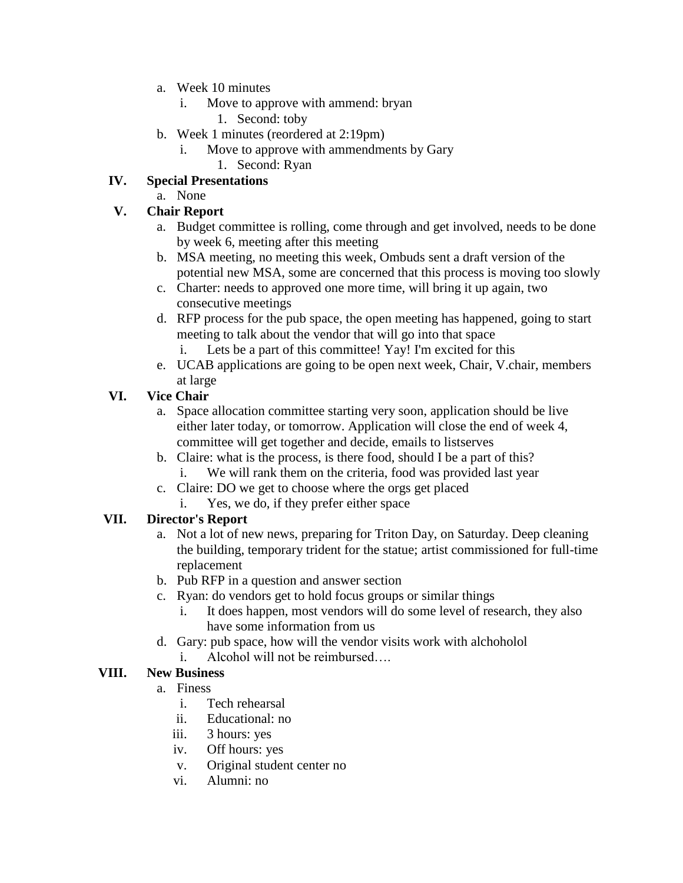- a. Week 10 minutes
	- i. Move to approve with ammend: bryan
		- 1. Second: toby
- b. Week 1 minutes (reordered at 2:19pm)
	- i. Move to approve with ammendments by Gary
		- 1. Second: Ryan

## **IV. Special Presentations**

a. None

## **V. Chair Report**

- a. Budget committee is rolling, come through and get involved, needs to be done by week 6, meeting after this meeting
- b. MSA meeting, no meeting this week, Ombuds sent a draft version of the potential new MSA, some are concerned that this process is moving too slowly
- c. Charter: needs to approved one more time, will bring it up again, two consecutive meetings
- d. RFP process for the pub space, the open meeting has happened, going to start meeting to talk about the vendor that will go into that space
	- i. Lets be a part of this committee! Yay! I'm excited for this
- e. UCAB applications are going to be open next week, Chair, V.chair, members at large

# **VI. Vice Chair**

- a. Space allocation committee starting very soon, application should be live either later today, or tomorrow. Application will close the end of week 4, committee will get together and decide, emails to listserves
- b. Claire: what is the process, is there food, should I be a part of this? i. We will rank them on the criteria, food was provided last year
- c. Claire: DO we get to choose where the orgs get placed
	- Yes, we do, if they prefer either space

# **VII. Director's Report**

- a. Not a lot of new news, preparing for Triton Day, on Saturday. Deep cleaning the building, temporary trident for the statue; artist commissioned for full-time replacement
- b. Pub RFP in a question and answer section
- c. Ryan: do vendors get to hold focus groups or similar things
	- i. It does happen, most vendors will do some level of research, they also have some information from us
- d. Gary: pub space, how will the vendor visits work with alchoholol
	- i. Alcohol will not be reimbursed

# **VIII. New Business**

- a. Finess
	- i. Tech rehearsal
	- ii. Educational: no
	- iii. 3 hours: yes
	- iv. Off hours: yes
	- v. Original student center no
	- vi. Alumni: no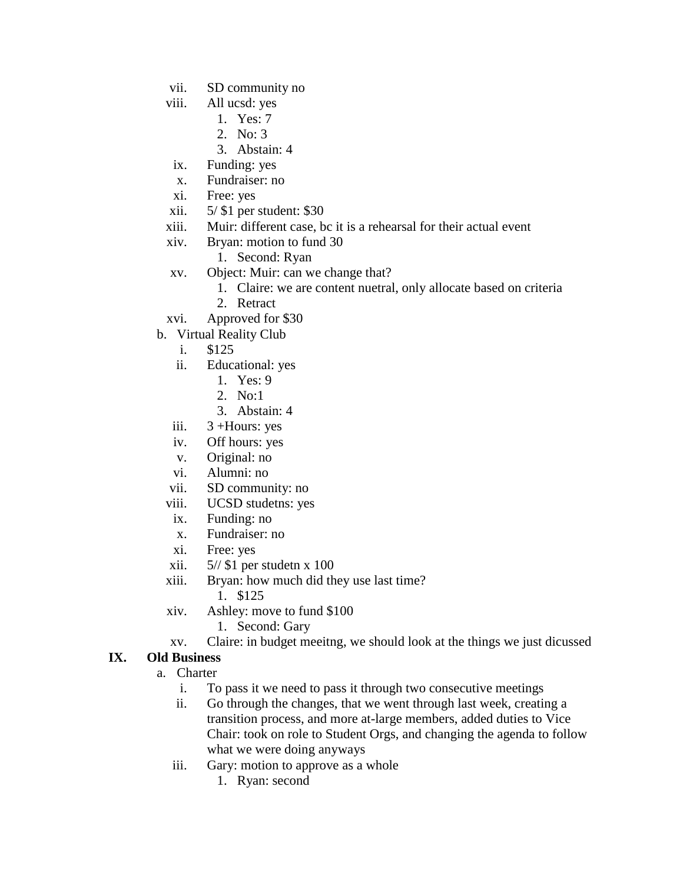- vii. SD community no
- viii. All ucsd: yes
	- 1. Yes: 7
	- 2. No: 3
	- 3. Abstain: 4
- ix. Funding: yes
- x. Fundraiser: no
- xi. Free: yes
- xii. 5/ \$1 per student: \$30
- xiii. Muir: different case, bc it is a rehearsal for their actual event
- xiv. Bryan: motion to fund 30
	- 1. Second: Ryan
- xv. Object: Muir: can we change that?
	- 1. Claire: we are content nuetral, only allocate based on criteria
	- 2. Retract
- xvi. Approved for \$30
- b. Virtual Reality Club
	- i. \$125
	- ii. Educational: yes
		- 1. Yes: 9
		- 2. No:1
		- 3. Abstain: 4
	- iii.  $3 +$ Hours: yes
	- iv. Off hours: yes
	- v. Original: no
	- vi. Alumni: no
	- vii. SD community: no
	- viii. UCSD studetns: yes
	- ix. Funding: no
	- x. Fundraiser: no
	- xi. Free: yes
	- xii. 5// \$1 per studetn x 100
	- xiii. Bryan: how much did they use last time?
		- 1. \$125
	- xiv. Ashley: move to fund \$100
		- 1. Second: Gary
	- xv. Claire: in budget meeitng, we should look at the things we just dicussed

#### **IX. Old Business**

- a. Charter
	- i. To pass it we need to pass it through two consecutive meetings
	- ii. Go through the changes, that we went through last week, creating a transition process, and more at-large members, added duties to Vice Chair: took on role to Student Orgs, and changing the agenda to follow what we were doing anyways
	- iii. Gary: motion to approve as a whole
		- 1. Ryan: second